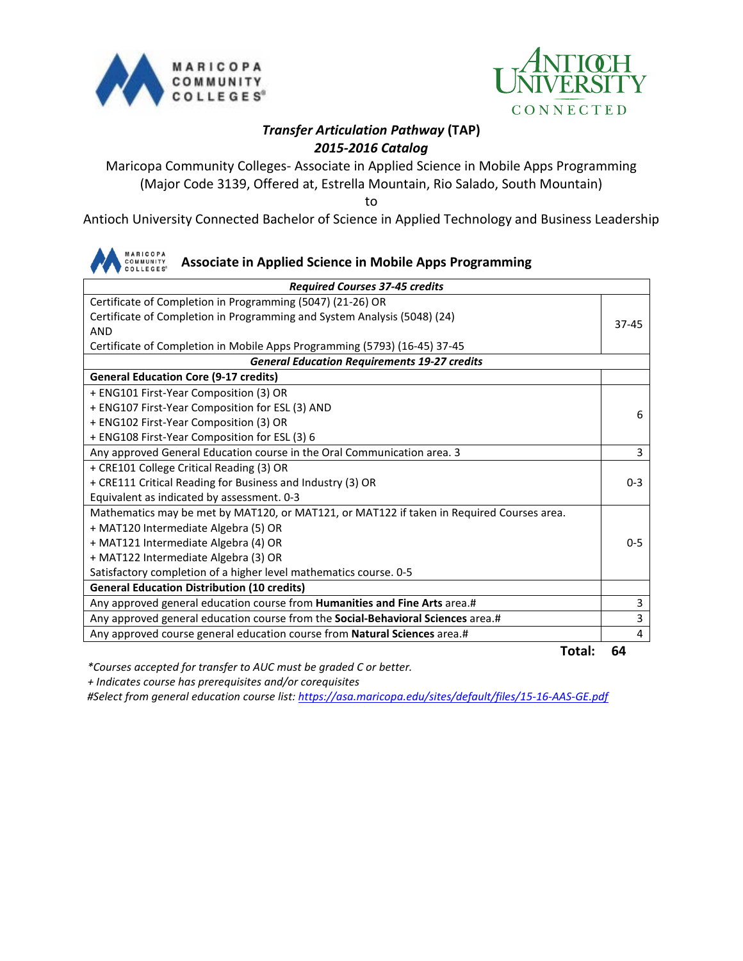



## *Transfer Articulation Pathway* **(TAP)** *2015-2016 Catalog*

Maricopa Community Colleges- Associate in Applied Science in Mobile Apps Programming (Major Code 3139, Offered at, Estrella Mountain, Rio Salado, South Mountain)

to

Antioch University Connected Bachelor of Science in Applied Technology and Business Leadership



| Certificate of Completion in Programming (5047) (21-26) OR<br>Certificate of Completion in Programming and System Analysis (5048) (24)<br>$37 - 45$<br><b>AND</b><br>Certificate of Completion in Mobile Apps Programming (5793) (16-45) 37-45<br><b>General Education Requirements 19-27 credits</b><br><b>General Education Core (9-17 credits)</b><br>+ ENG101 First-Year Composition (3) OR<br>+ ENG107 First-Year Composition for ESL (3) AND<br>6<br>+ ENG102 First-Year Composition (3) OR<br>+ ENG108 First-Year Composition for ESL (3) 6<br>3<br>Any approved General Education course in the Oral Communication area. 3<br>+ CRE101 College Critical Reading (3) OR<br>+ CRE111 Critical Reading for Business and Industry (3) OR<br>$0 - 3$<br>Equivalent as indicated by assessment. 0-3<br>Mathematics may be met by MAT120, or MAT121, or MAT122 if taken in Required Courses area.<br>+ MAT120 Intermediate Algebra (5) OR<br>$0 - 5$<br>+ MAT121 Intermediate Algebra (4) OR<br>+ MAT122 Intermediate Algebra (3) OR<br>Satisfactory completion of a higher level mathematics course. 0-5<br><b>General Education Distribution (10 credits)</b><br>Any approved general education course from Humanities and Fine Arts area.#<br>3<br>$\overline{3}$<br>Any approved general education course from the Social-Behavioral Sciences area.#<br>Any approved course general education course from Natural Sciences area.#<br>4 | <b>Required Courses 37-45 credits</b> |  |  |
|---------------------------------------------------------------------------------------------------------------------------------------------------------------------------------------------------------------------------------------------------------------------------------------------------------------------------------------------------------------------------------------------------------------------------------------------------------------------------------------------------------------------------------------------------------------------------------------------------------------------------------------------------------------------------------------------------------------------------------------------------------------------------------------------------------------------------------------------------------------------------------------------------------------------------------------------------------------------------------------------------------------------------------------------------------------------------------------------------------------------------------------------------------------------------------------------------------------------------------------------------------------------------------------------------------------------------------------------------------------------------------------------------------------------------------------------|---------------------------------------|--|--|
|                                                                                                                                                                                                                                                                                                                                                                                                                                                                                                                                                                                                                                                                                                                                                                                                                                                                                                                                                                                                                                                                                                                                                                                                                                                                                                                                                                                                                                             |                                       |  |  |
|                                                                                                                                                                                                                                                                                                                                                                                                                                                                                                                                                                                                                                                                                                                                                                                                                                                                                                                                                                                                                                                                                                                                                                                                                                                                                                                                                                                                                                             |                                       |  |  |
|                                                                                                                                                                                                                                                                                                                                                                                                                                                                                                                                                                                                                                                                                                                                                                                                                                                                                                                                                                                                                                                                                                                                                                                                                                                                                                                                                                                                                                             |                                       |  |  |
|                                                                                                                                                                                                                                                                                                                                                                                                                                                                                                                                                                                                                                                                                                                                                                                                                                                                                                                                                                                                                                                                                                                                                                                                                                                                                                                                                                                                                                             |                                       |  |  |
|                                                                                                                                                                                                                                                                                                                                                                                                                                                                                                                                                                                                                                                                                                                                                                                                                                                                                                                                                                                                                                                                                                                                                                                                                                                                                                                                                                                                                                             |                                       |  |  |
|                                                                                                                                                                                                                                                                                                                                                                                                                                                                                                                                                                                                                                                                                                                                                                                                                                                                                                                                                                                                                                                                                                                                                                                                                                                                                                                                                                                                                                             |                                       |  |  |
|                                                                                                                                                                                                                                                                                                                                                                                                                                                                                                                                                                                                                                                                                                                                                                                                                                                                                                                                                                                                                                                                                                                                                                                                                                                                                                                                                                                                                                             |                                       |  |  |
|                                                                                                                                                                                                                                                                                                                                                                                                                                                                                                                                                                                                                                                                                                                                                                                                                                                                                                                                                                                                                                                                                                                                                                                                                                                                                                                                                                                                                                             |                                       |  |  |
|                                                                                                                                                                                                                                                                                                                                                                                                                                                                                                                                                                                                                                                                                                                                                                                                                                                                                                                                                                                                                                                                                                                                                                                                                                                                                                                                                                                                                                             |                                       |  |  |
|                                                                                                                                                                                                                                                                                                                                                                                                                                                                                                                                                                                                                                                                                                                                                                                                                                                                                                                                                                                                                                                                                                                                                                                                                                                                                                                                                                                                                                             |                                       |  |  |
|                                                                                                                                                                                                                                                                                                                                                                                                                                                                                                                                                                                                                                                                                                                                                                                                                                                                                                                                                                                                                                                                                                                                                                                                                                                                                                                                                                                                                                             |                                       |  |  |
|                                                                                                                                                                                                                                                                                                                                                                                                                                                                                                                                                                                                                                                                                                                                                                                                                                                                                                                                                                                                                                                                                                                                                                                                                                                                                                                                                                                                                                             |                                       |  |  |
|                                                                                                                                                                                                                                                                                                                                                                                                                                                                                                                                                                                                                                                                                                                                                                                                                                                                                                                                                                                                                                                                                                                                                                                                                                                                                                                                                                                                                                             |                                       |  |  |
|                                                                                                                                                                                                                                                                                                                                                                                                                                                                                                                                                                                                                                                                                                                                                                                                                                                                                                                                                                                                                                                                                                                                                                                                                                                                                                                                                                                                                                             |                                       |  |  |
|                                                                                                                                                                                                                                                                                                                                                                                                                                                                                                                                                                                                                                                                                                                                                                                                                                                                                                                                                                                                                                                                                                                                                                                                                                                                                                                                                                                                                                             |                                       |  |  |
|                                                                                                                                                                                                                                                                                                                                                                                                                                                                                                                                                                                                                                                                                                                                                                                                                                                                                                                                                                                                                                                                                                                                                                                                                                                                                                                                                                                                                                             |                                       |  |  |
|                                                                                                                                                                                                                                                                                                                                                                                                                                                                                                                                                                                                                                                                                                                                                                                                                                                                                                                                                                                                                                                                                                                                                                                                                                                                                                                                                                                                                                             |                                       |  |  |
|                                                                                                                                                                                                                                                                                                                                                                                                                                                                                                                                                                                                                                                                                                                                                                                                                                                                                                                                                                                                                                                                                                                                                                                                                                                                                                                                                                                                                                             |                                       |  |  |
|                                                                                                                                                                                                                                                                                                                                                                                                                                                                                                                                                                                                                                                                                                                                                                                                                                                                                                                                                                                                                                                                                                                                                                                                                                                                                                                                                                                                                                             |                                       |  |  |
|                                                                                                                                                                                                                                                                                                                                                                                                                                                                                                                                                                                                                                                                                                                                                                                                                                                                                                                                                                                                                                                                                                                                                                                                                                                                                                                                                                                                                                             |                                       |  |  |
|                                                                                                                                                                                                                                                                                                                                                                                                                                                                                                                                                                                                                                                                                                                                                                                                                                                                                                                                                                                                                                                                                                                                                                                                                                                                                                                                                                                                                                             |                                       |  |  |
|                                                                                                                                                                                                                                                                                                                                                                                                                                                                                                                                                                                                                                                                                                                                                                                                                                                                                                                                                                                                                                                                                                                                                                                                                                                                                                                                                                                                                                             |                                       |  |  |
|                                                                                                                                                                                                                                                                                                                                                                                                                                                                                                                                                                                                                                                                                                                                                                                                                                                                                                                                                                                                                                                                                                                                                                                                                                                                                                                                                                                                                                             |                                       |  |  |

**Total: 64**

*\*Courses accepted for transfer to AUC must be graded C or better.*

 *+ Indicates course has prerequisites and/or corequisites*

*#Select from general education course list:<https://asa.maricopa.edu/sites/default/files/15-16-AAS-GE.pdf>*